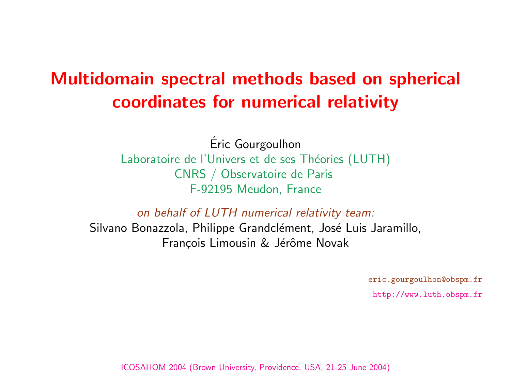## Multidomain spectral methods based on coordinates for numerical relativ

Eric Gourgoulhon ´ Laboratoire de l'Univers et de ses Théories (LUT CNRS / Observatoire de Paris F-92195 Meudon, France

on behalf of LUTH numerical relativity team Silvano Bonazzola, Philippe Grandclément, José Luis François Limousin & Jérôme Novak

ICOSAHOM 2004 (Brown University, Providence, USA, 21-25 June 2

 $\epsilon$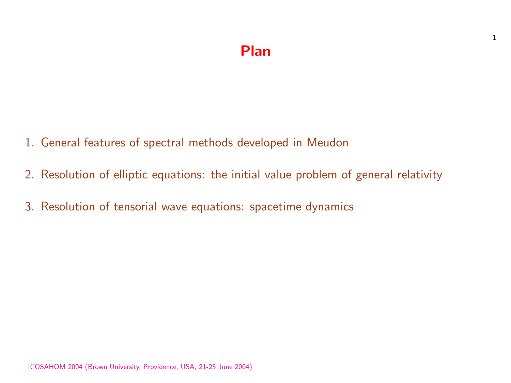### Plan

- 1. General features of spectral methods developed in Meudon
- 2. Resolution of elliptic equations: the initial value problem of general relativity
- 3. Resolution of tensorial wave equations: spacetime dynamics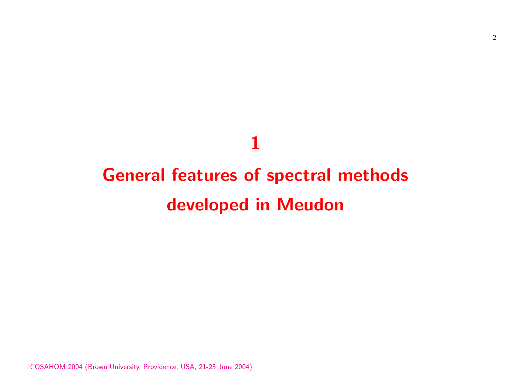# General features of spectral methods developed in Meudon

1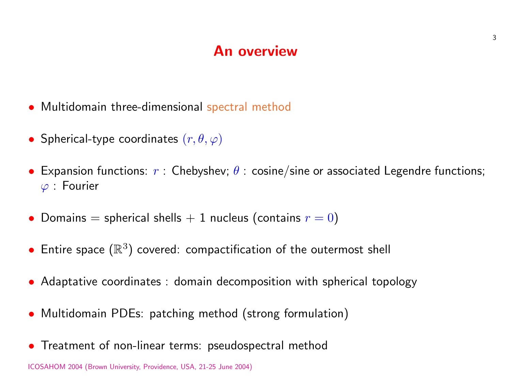#### An overview

- Multidomain three-dimensional spectral method
- Spherical-type coordinates  $(r, \theta, \varphi)$
- Expansion functions:  $r$  : Chebyshev;  $\theta$  : cosine/sine or associated Legendre functions;  $\varphi$  : Fourier
- Domains = spherical shells  $+1$  nucleus (contains  $r = 0$ )
- Entire space  $(\mathbb{R}^3)$  covered: compactification of the outermost shell
- Adaptative coordinates : domain decomposition with spherical topology
- Multidomain PDEs: patching method (strong formulation)
- Treatment of non-linear terms: pseudospectral method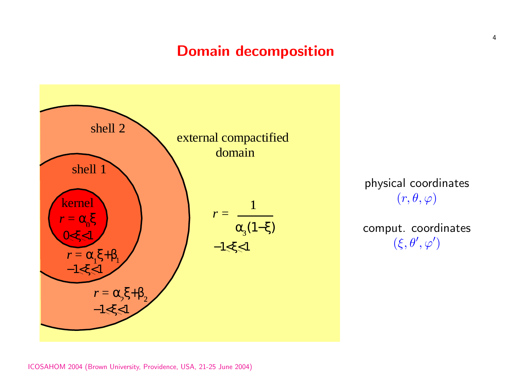## Domain decomposition



physical coordinates  $(r, \theta, \varphi)$ 

comput. coordinates  $(\xi, \theta', \varphi')$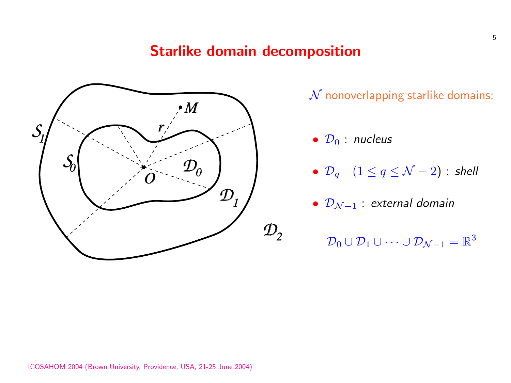### Starlike domain decomposition



 $N$  nonoverlapping starlike domains:

- $\mathcal{D}_0$  nucleus
- $\mathcal{D}_q$   $(1 \leq q \leq \mathcal{N} 2)$  : shell
- $\mathcal{D}_{\mathcal{N}-1}$  : external domain
	- $\mathcal{D}_0\cup\mathcal{D}_1\cup\cdots\cup\mathcal{D}_{\mathcal{N}-1}=\mathbb{R}^3$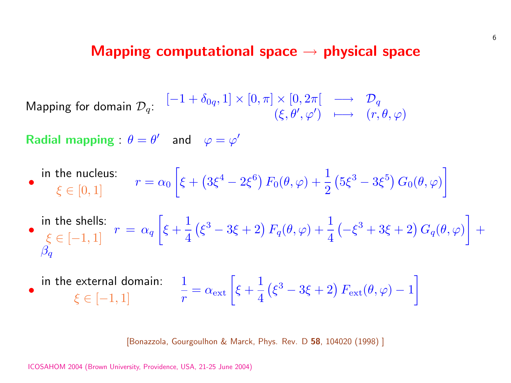#### Mapping computational space  $\rightarrow$  physica

Mapping for domain  $\mathcal{D}_q$ :  $[-1 + \delta_{0q}, 1] \times [0, \pi] \times [0, 2\pi] \longrightarrow \mathcal{I}$  $(\xi, \theta', \varphi') \quad \longmapsto \quad ($ 

Radial mapping :  $\theta = \theta'$  and  $\varphi = \varphi'$ 

- in the nucleus:  $\xi \in [0, 1]$   $r = \alpha_0$ ·  $\xi +$ ¡  $3\xi^4 - 2\xi^6 \big) F_0(\theta, \varphi) + \frac{1}{2}$ 2 ¡  $5\xi^3$  –
- in the shells:  $\xi \in [-1, 1]$   $r = \alpha_q$ ·  $\xi +$ 1 [4](http://publish.aps.org/abstract/PRD/v58/e104020) ¡  $\left(\xi^3-3\xi+2\right)F_q(\theta,\varphi)+\frac{1}{4}$ 4 ¡  $-\xi^3 +$  $\overline{\beta_q}$
- in the external domain:  $\xi \in [-1, 1]$ 1 r  $= \alpha_{\rm ext} \left[ \xi + \right]$ 1 4 ¡  $\xi^3-3\xi+2\big)\,F_{\rm ext}(t)$

[Bonazzola, Gourgoulhon & Marck, Phys. Rev. D 58, 104020 (199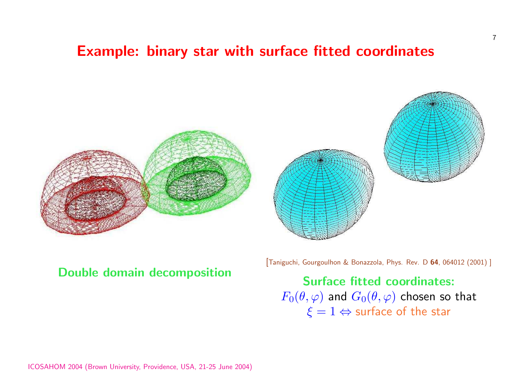## Example: binary star with surface fitted co





Double domain decomposition

[Taniguchi, Gourgoulhon & Bonazz

Surface fitte  $F_0(\theta, \varphi)$  and  $G_0(\theta)$  $\xi = 1 \Leftrightarrow$  sur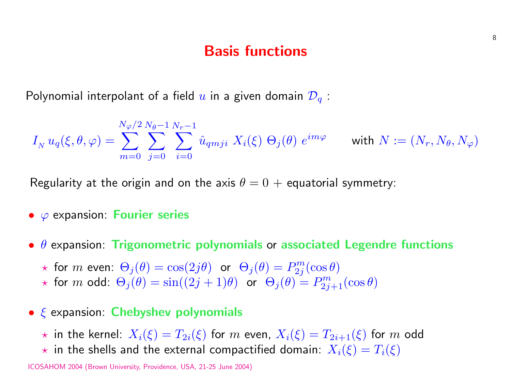#### Basis functions

Polynomial interpolant of a field  $u$  in a given domain  $\mathcal{D}_q$ :

$$
I_N u_q(\xi, \theta, \varphi) = \sum_{m=0}^{N_{\varphi}/2} \sum_{j=0}^{N_{\theta}-1} \sum_{i=0}^{N_r-1} \hat{u}_{qmji} \; X_i(\xi) \; \Theta_j(\theta) \; e^{im\varphi} \qquad \text{with } N := (N_r, N_{\theta}, N_{\varphi})
$$

Regularity at the origin and on the axis  $\theta = 0 +$  equatorial symmetry:

- $\varphi$  expansion: Fourier series
- $\theta$  expansion: Trigonometric polynomials or associated Legendre functions

 $\star$  for  $m$  even:  $\Theta_j(\theta) = \cos(2j\theta)$  or  $\Theta_j(\theta) = P_{2j}^m$  $\frac{2m}{2j}(\cos\theta)$  $\star$  for m odd:  $\Theta_j(\theta) = \sin((2j+1)\theta)$  or  $\Theta_j(\theta) = P_{2j+1}^m(\cos\theta)$ 

- $\xi$  expansion: Chebyshev polynomials
	- $\star$  in the kernel:  $X_i(\xi) = T_{2i}(\xi)$  for m even,  $X_i(\xi) = T_{2i+1}(\xi)$  for m odd
	- $\star$  in the shells and the external compactified domain:  $X_i(\xi) = T_i(\xi)$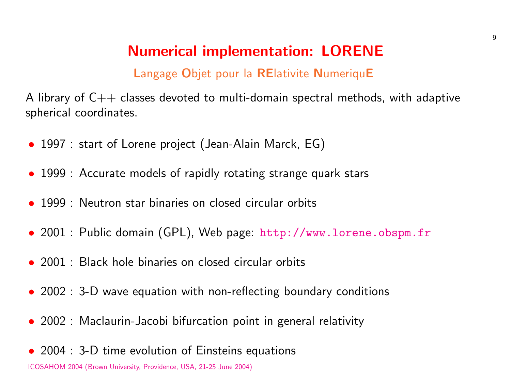## **Numerical implementation: LOREN**

#### Langage Objet pour la RElativite NumeriquE

A library of  $C++$  classes devoted to multi-domain spectral method spherical coordinates.

- 1997 : start of Lorene project (Jean-Alai[n Marck, EG\)](http://www.lorene.obspm.fr)
- 1999 : Accurate models of rapidly rotating strange quark stars
- 1999 : Neutron star binaries on closed circular orbits
- 2001 : Public domain (GPL), Web page: http://www.lorene
- 2001 : Black hole binaries on closed circular orbits
- $\bullet$  2002 : 3-D wave equation with non-reflecting boundary conditions
- 2002 : Maclaurin-Jacobi bifurcation point in general relativity
- 2004 : 3-D time evolution of Einsteins equations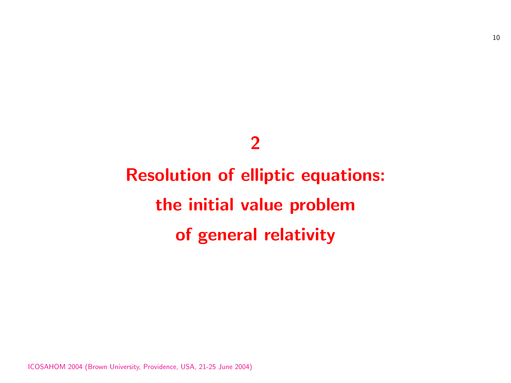## 2

# Resolution of elliptic equations: the initial value problem of general relativity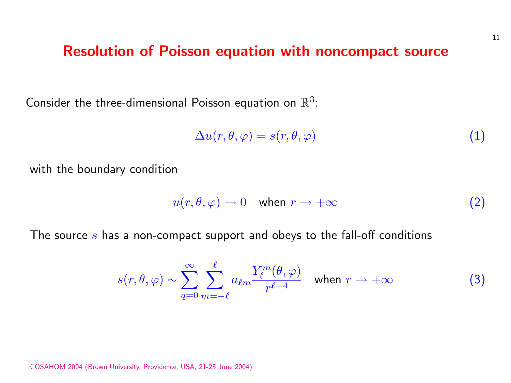#### Resolution of Poisson equation with noncompact source

Consider the three-dimensional Poisson equation on  $\mathbb{R}^3$ :

$$
\Delta u(r,\theta,\varphi) = s(r,\theta,\varphi) \tag{1}
$$

with the boundary condition

$$
u(r, \theta, \varphi) \to 0 \quad \text{when } r \to +\infty \tag{2}
$$

The source s has a non-compact support and obeys to the fall-off conditions

$$
s(r, \theta, \varphi) \sim \sum_{q=0}^{\infty} \sum_{m=-\ell}^{\ell} a_{\ell m} \frac{Y_{\ell}^{m}(\theta, \varphi)}{r^{\ell+4}} \quad \text{when } r \to +\infty \tag{3}
$$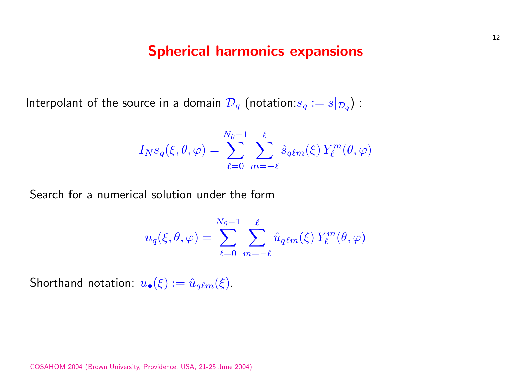#### Spherical harmonics expansions

Interpolant of the source in a domain  $\mathcal{D}_q$  (notation: $s_q:=s|_{\mathcal{D}_q})$  :

$$
I_N s_q(\xi, \theta, \varphi) = \sum_{\ell=0}^{N_{\theta}-1} \sum_{m=-\ell}^{\ell} \hat{s}_{q\ell m}(\xi) Y_{\ell}^m(\theta, \varphi)
$$

Search for a numerical solution under the form

$$
\bar{u}_q(\xi,\theta,\varphi) = \sum_{\ell=0}^{N_\theta-1} \sum_{m=-\ell}^\ell \hat{u}_{q\ell m}(\xi) \, Y_\ell^m(\theta,\varphi)
$$

Shorthand notation:  $u_{\bullet}(\xi) := \hat{u}_{q\ell m}(\xi)$ .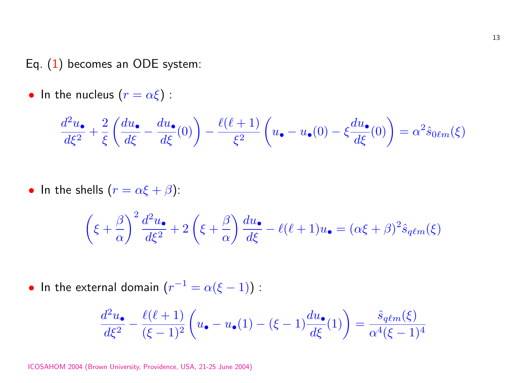Eq. (1) becomes an ODE system:

• In the nucleus 
$$
(r = \alpha \xi)
$$
:

$$
\frac{d^2u_\bullet}{d\xi^2} + \frac{2}{\xi} \left( \frac{du_\bullet}{d\xi} - \frac{du_\bullet}{d\xi}(0) \right) - \frac{\ell(\ell+1)}{\xi^2} \left( u_\bullet - u_\bullet(0) - \xi \frac{du_\bullet}{d\xi} \right)
$$

• In the shells  $(r = \alpha \xi + \beta)$ :

$$
\left(\xi + \frac{\beta}{\alpha}\right)^2 \frac{d^2 u_\bullet}{d\xi^2} + 2\left(\xi + \frac{\beta}{\alpha}\right) \frac{du_\bullet}{d\xi} - \ell(\ell+1)u_\bullet = (\alpha\xi)
$$

• In the external domain  $(r^{-1} = \alpha(\xi - 1))$ :

$$
\frac{d^2u_\bullet}{d\xi^2} - \frac{\ell(\ell+1)}{(\xi-1)^2} \left(u_\bullet - u_\bullet(1) - (\xi-1)\frac{du_\bullet}{d\xi}(1)\right) = \frac{1}{\ell} \left(\frac{d}{d\xi}\right)^2
$$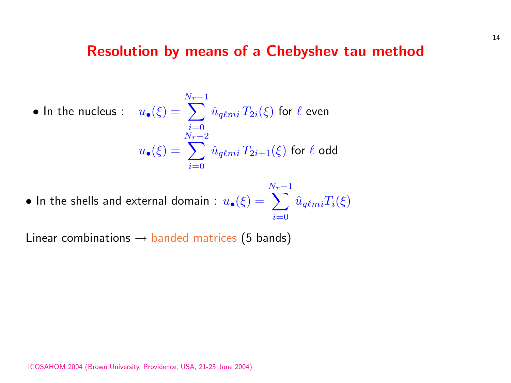#### Resolution by means of a Chebyshev tau method

• In the nucleus : 
$$
u_{\bullet}(\xi) = \sum_{\substack{i=0 \ i=0}}^{N_r-1} \hat{u}_{q\ell mi} T_{2i}(\xi)
$$
 for  $\ell$  even  

$$
u_{\bullet}(\xi) = \sum_{i=0}^{N_r-2} \hat{u}_{q\ell mi} T_{2i+1}(\xi)
$$
 for  $\ell$  odd

 $\bullet$  In the shells and external domain :  $u_{\bullet}(\xi) = 0$  $\frac{N_r-1}{\sqrt{m_r}}$  $i=0$  $\hat{u}_{q\ell m i}T_i(\xi)$ 

Linear combinations  $\rightarrow$  banded matrices (5 bands)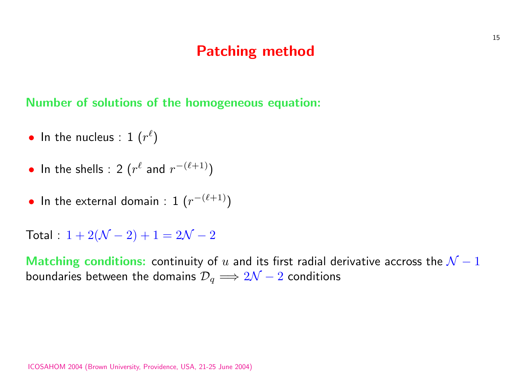### Patching method

Number of solutions of the homogeneous equation:

- $\bullet$  In the nucleus : 1  $(r^{\ell})$
- In the shells : 2  $(r^{\ell}$  and  $r^{-(\ell+1)})$
- In the external domain :  $1 (r^{-(\ell+1)})$

Total :  $1 + 2(\mathcal{N} - 2) + 1 = 2\mathcal{N} - 2$ 

Matching conditions: continuity of u and its first radial derivative accross the  $\mathcal{N}-1$ boundaries between the domains  $\mathcal{D}_q \Longrightarrow 2\mathcal{N}-2$  conditions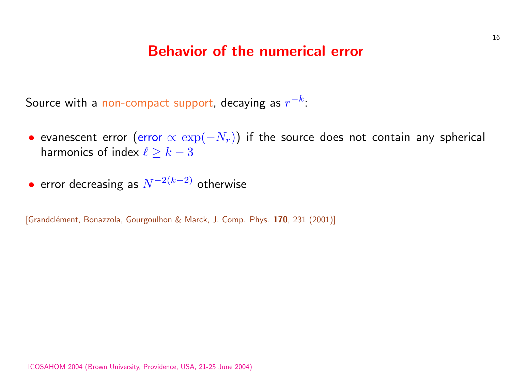#### Behavior of the numerical error

Source with a non-compact support, decaying as  $r^{-k}\colon$ 

- evanescent error (error  $\propto \exp(-N_r)$ ) if the source does not harmonics of index  $\ell \geq k-3$
- $\bullet$  error decreasing as  $N^{-2(k-2)}$  otherwise

[Grandclément, Bonazzola, Gourgoulhon & Marck, J. Comp. Phys. 170, 231 (2001)]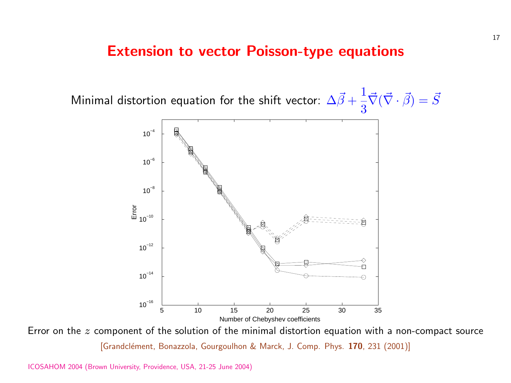#### Extension to vector Poisson-type equa





Error on the  $z$  component of the solution of the minimal distortion equation w [Grandclément, Bonazzola, Gourgoulhon & Marck, J. Comp. Phys. 170, 2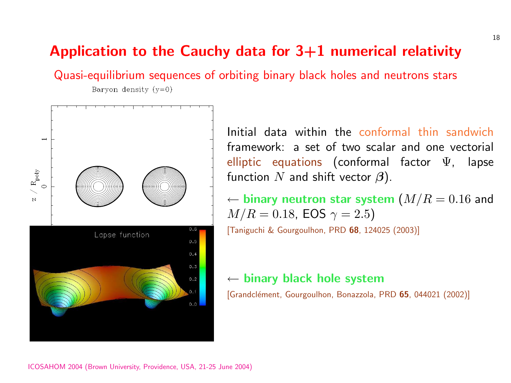#### Application to the Cauchy data for  $3+1$  numer

Quasi-equilibrium sequences of orbiting binary black holes an Baryon density  $(y=0)$ 



[Initial data within the](http://publish.aps.org/abstract/PRD/v68/e124025) co framework: a set of two s elliptic equations (confor function  $N$  and shift vector

 $\leftarrow$  binary neutron star sys  $M/R = 0.18$ , EOS  $\gamma = 2.5$ [Taniguchi & Gourgoulhon, PRD 68, 12

 $\leftarrow$  binary black hole syste [Grandclément, Gourgoulhon, Bonazzola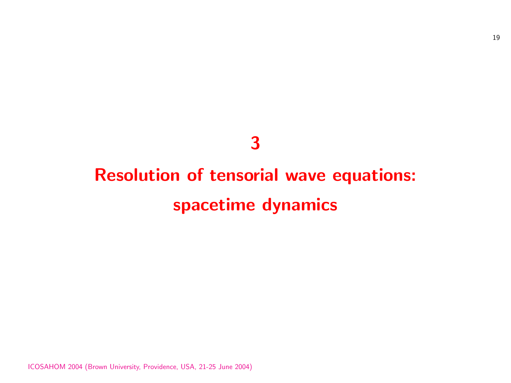## 3

## Resolution of tensorial wave equations: spacetime dynamics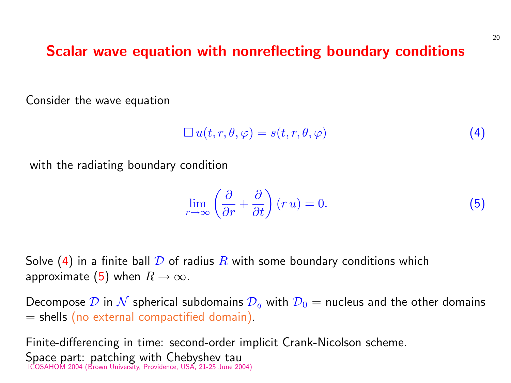#### Scalar wave equation with nonreflecting boundary

Consider the wave equation

$$
\Box\,u(t,r,\theta,\varphi)=s(t,r,\theta,\varphi)
$$

with the radiating boundary condition

$$
\lim_{r \to \infty} \left( \frac{\partial}{\partial r} + \frac{\partial}{\partial t} \right) (r u) = 0.
$$

Solve (4) in a finite ball  $\mathcal D$  of radius  $R$  with some boundary conditions approximate (5) when  $R \to \infty$ .

Decompose  $\mathcal D$  in  $\mathcal N$  spherical subdomains  $\mathcal D_q$  with  $\mathcal D_0 =$  nucleus and  $=$  shells (no external compactified domain).

Finite-differencing in time: second-order implicit Crank-Nicolson set Space part: patching with Chebyshev tau ICOSAHOM 2004 (Brown University, Providence, USA, 21-25 June 2004)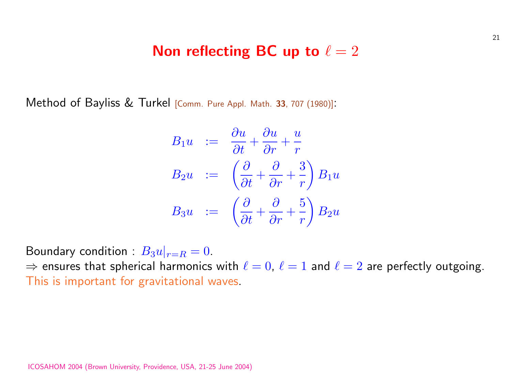#### Non reflecting BC up to  $\ell = 2$

Method of Bayliss & Turkel [Comm. Pure Appl. Math. <sup>33</sup>, 707 (1980)]:

$$
B_1 u := \frac{\partial u}{\partial t} + \frac{\partial u}{\partial r} + \frac{u}{r}
$$
  
\n
$$
B_2 u := \left(\frac{\partial}{\partial t} + \frac{\partial}{\partial r} + \frac{3}{r}\right) B_1 u
$$
  
\n
$$
B_3 u := \left(\frac{\partial}{\partial t} + \frac{\partial}{\partial r} + \frac{5}{r}\right) B_2 u
$$

Boundary condition :  $B_3u|_{r=R}=0$ .  $\Rightarrow$  ensures that spherical harmonics with  $\ell = 0, \ \ell = 1$  and  $\ell = 2$  are This is important for gravitational waves.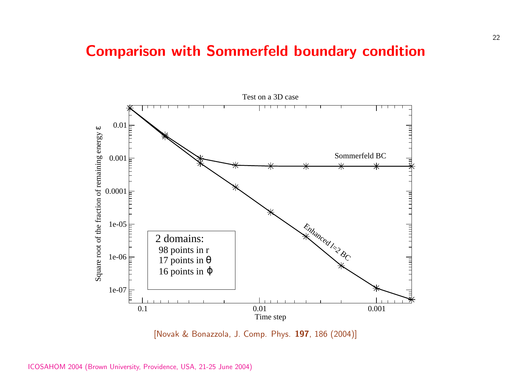## Comparison with Sommerfeld boundary contain



[Novak & Bonazzola, J. Comp. Phys. 197, 186 (2004)]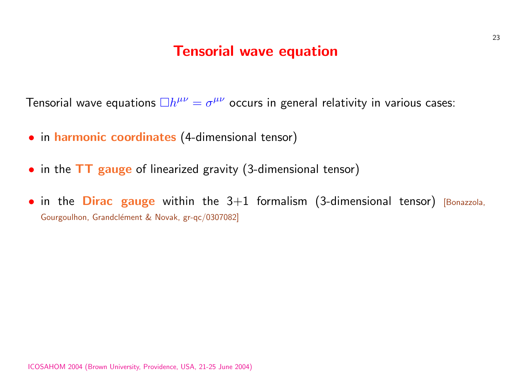#### Tensorial wave equation

Tensorial wave equations  $\Box h^{\mu\nu}=\sigma^{\mu\nu}$  occurs in general relativity

- in harmonic coordinates (4-dimensional tensor)
- in the TT gauge of linearized gravity (3-dimensional tensor)
- $\bullet$  in the Dirac gauge within the  $3+1$  formalism (3-dimension Gourgoulhon, Grandclément & Novak, gr-qc/0307082]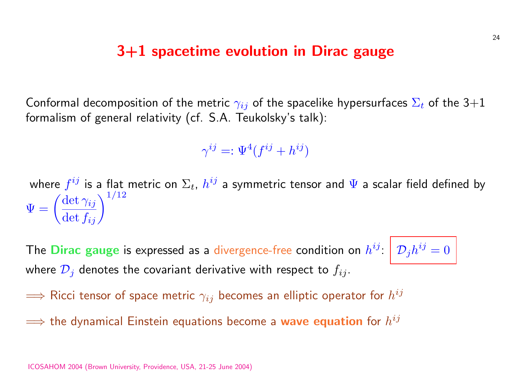#### 3+1 spacetime evolution in Dirac gauge

Conformal decomposition of the metric  $\gamma_{ij}$  of the spacelike hypersurfaces  $\Sigma_t$  of the 3+1 formalism of general relativity (cf. S.A. Teukolsky's talk):

$$
\gamma^{ij} =: \Psi^4(f^{ij} + h^{ij})
$$

where  $f^{ij}$  is a flat metric on  $\Sigma_t$ ,  $h^{ij}$  a symmetric tensor and  $\Psi$  a scalar field defined by where  $\Psi = ($  $\det \gamma_{ij}$  $\frac{\det \gamma_{ij}}{\det f_{ij}}\bigg)^{1/12}$ 

The Dirac gauge is expressed as a divergence-free condition on  $h^{ij}\colon\big|\mathcal{D}_jh^{ij}=0$ where  $\mathcal{D}_j$  denotes the covariant derivative with respect to  $f_{ij}$ .

 $\Longrightarrow$  Ricci tensor of space metric  $\gamma_{ij}$  becomes an elliptic operator for  $h^{ij}$ 

 $\Longrightarrow$  the dynamical Einstein equations become a wave equation for  $h^{ij}$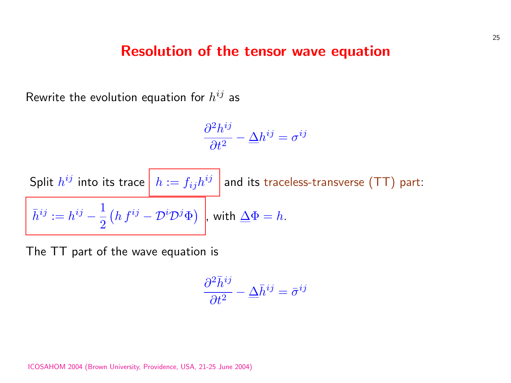#### Resolution of the tensor wave equation

Rewrite the evolution equation for  $h^{ij}$  as

$$
\frac{\partial^2 h^{ij}}{\partial t^2} - \Delta h^{ij} = \sigma^{ij}
$$

Split 
$$
h^{ij}
$$
 into its trace  $\boxed{h := f_{ij}h^{ij}}$  and its traceless-transverse (TT) part:  
\n $\bar{h}^{ij} := h^{ij} - \frac{1}{2} (h f^{ij} - \mathcal{D}^i \mathcal{D}^j \Phi)$ , with  $\Delta \Phi = h$ .

The TT part of the wave equation is

$$
\frac{\partial^2 \bar{h}^{ij}}{\partial t^2} - \underline{\Delta} \bar{h}^{ij} = \bar{\sigma}^{ij}
$$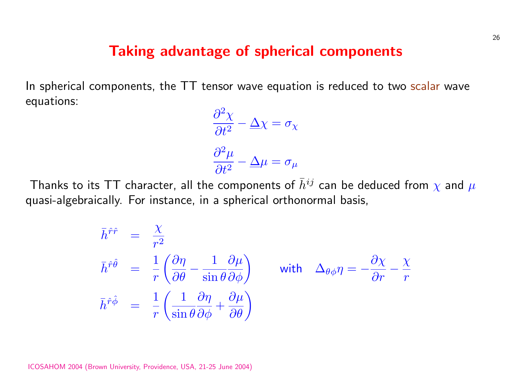#### Taking advantage of spherical components

In spherical components, the TT tensor wave equation is reduced to two scalar wave equations:

$$
\frac{\partial^2 \chi}{\partial t^2} - \Delta \chi = \sigma_{\chi}
$$

$$
\frac{\partial^2 \mu}{\partial t^2} - \Delta \mu = \sigma_{\mu}
$$

Thanks to its TT character, all the components of  $\bar{h}^{ij}$  can be deduced from  $\chi$  and  $\mu$ quasi-algebraically. For instance, in a spherical orthonormal basis,

$$
\begin{aligned}\n\bar{h}^{\hat{r}\hat{r}} &= \frac{\chi}{r^2} \\
\bar{h}^{\hat{r}\hat{\theta}} &= \frac{1}{r} \left( \frac{\partial \eta}{\partial \theta} - \frac{1}{\sin \theta} \frac{\partial \mu}{\partial \phi} \right) \\
\bar{h}^{\hat{r}\hat{\phi}} &= \frac{1}{r} \left( \frac{1}{\sin \theta} \frac{\partial \eta}{\partial \phi} + \frac{\partial \mu}{\partial \theta} \right)\n\end{aligned}
$$
 with  $\Delta_{\theta\phi}\eta = -\frac{\partial \chi}{\partial r} - \frac{\chi}{r}$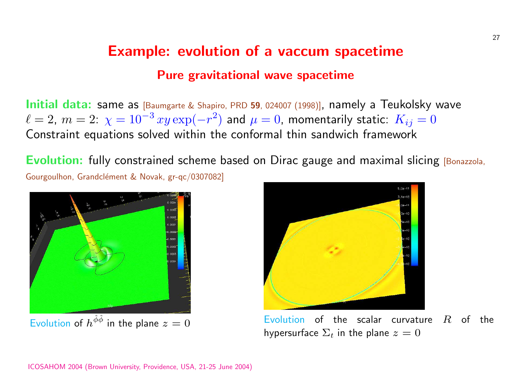## Example: evolution of a vaccum space [Pure gravita](http://arXiv.org/abs/gr-qc/0307082)tional wave spacetime

Initial data: same as [Baumgarte & Shapiro, PRD 59, 024007 (1998)], namely a  $\ell = 2,~m = 2:~\chi = 10^{-3} \,xy \exp(-r^2)$  and  $\mu = 0$ , momentarily sta Constraint equations solved within the conformal thin sandwich fr

Evolution: fully constrained scheme based on Dirac gauge and maximal Gourgoulhon, Grandclément & Novak, gr-qc/0307082]



hypersurface  $\Sigma_t$  in the p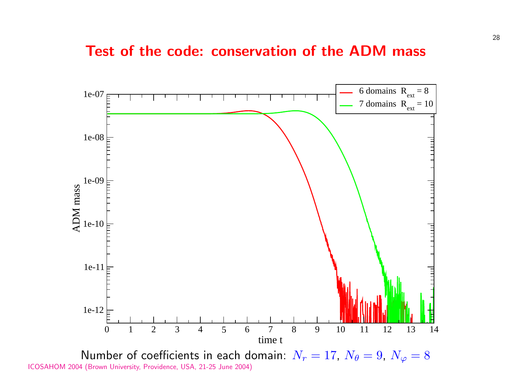